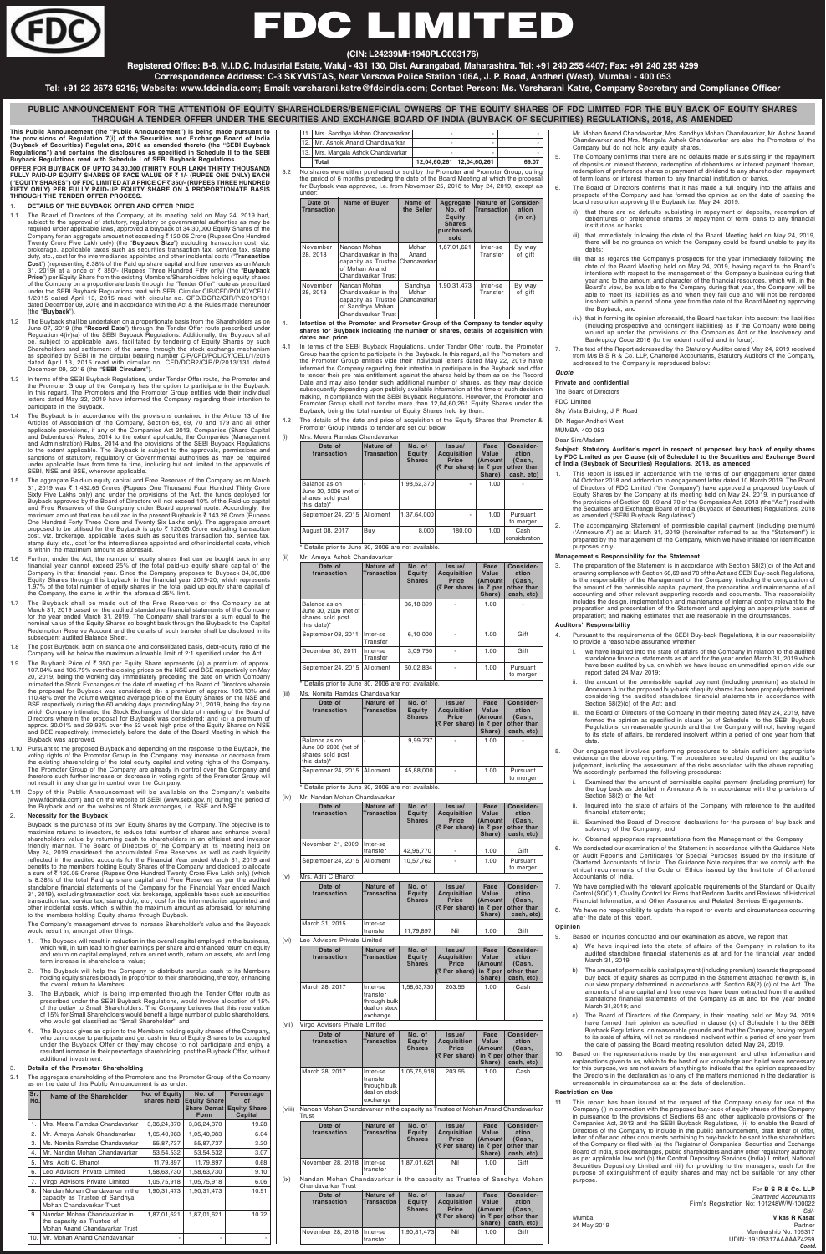

# FDC LIMIT

**This Public Announcement (the "Public Announcement") is being made pursuant to the provisions of Regulation 7(i) of the Securities and Exchange Board of India (Buyback of Securities) Regulations, 2018 as amended thereto (the "SEBI Buyback Regulations") and contains the disclosures as specified in Schedule II to the SEBI Buyback Regulations read with Schedule I of SEBI Buyback Regulations.**

**OFFER FOR BUYBACK OF UPTO 34,30,000 (THIRTY FOUR LAKH THIRTY THOUSAND) FULLY PAID-UP EQUITY SHARES OF FACE VALUE OF** ` **1/- (RUPEE ONE ONLY) EACH ("EQUITY SHARES") OF FDC LIMITED AT A PRICE OF** ` **350/- (RUPEES THREE HUNDRED FIFTY ONLY) PER FULLY PAID-UP EQUITY SHARE ON A PROPORTIONATE BASIS THROUGH THE TENDER OFFER PROCESS.**

# 1. **DETAILS OF THE BUYBACK OFFER AND OFFER PRICE**

- 1.1 The Board of Directors of the Company, at its meeting held on May 24, 2019 had, subject to the approval of statutory, regulatory or governmental authorities as may be<br>required under applicable laws, approved a buyback of 34,30,000 Equity Shares of the<br>Company for an aggregate amount not exceeding₹ 12 Twenty Crore Five Lakh only) (the "**Buyback Size**") excluding transaction cost, viz. brokerage, applicable taxes such as securities transaction tax, service tax, stamp duty, etc., cost for the intermediaries appointed and other incidental costs ("**Transaction**<br>**Cost**") (representing 8.38% of the Paid up share capital and free reserves as on March<br>31, 2019) at a price of ₹ 350/- (Rupees **Price**") per Equity Share from the existing Members/Shareholders holding equity shares of the Company on a proportionate basis through the "Tender Offer" route as prescribed under the SEBI Buyback Regulations read with SEBI Circular CIR/CFD/POLICYCELL/ 1/2015 dated April 13, 2015 read with circular no. CFD/DCR2/CIR/P/2013/131 dated December 09, 2016 and in accordance with the Act & the Rules made thereunder (the "**Buyback**").
- 1.2 The Buyback shall be undertaken on a proportionate basis from the Shareholders as on June 07, 2019 (the "**Record Date**") through the Tender Offer route prescribed under Regulation 4(iv)(a) of the SEBI Buyback Regulations. Additionally, the Buyback shall be, subject to applicable laws, facilitated by tendering of Equity Shares by such Shareholders and settlement of the same, through the stock exchange mechanism as specified by SEBI in the circular bearing number CIR/CFD/POLICY/CELL/1/2015 dated April 13, 2015 read with circular no. CFD/DCR2/CIR/P/2013/131 dated December 09, 2016 (the "**SEBI Circulars**").
- In terms of the SEBI Buyback Regulations, under Tender Offer route, the Promoter and the Promoter Group of the Company has the option to participate in the Buyback. In this regard, The Promoters and the Promoter Group entities vide their individual letters dated May 22, 2019 have informed the Company regarding their intention to participate in the Buyback.
- 1.4 The Buyback is in accordance with the provisions contained in the Article 13 of the Articles of Association of the Company, Section 68, 69, 70 and 179 and all other applicable provisions, if any of the Companies Act 2013, Companies (Share Capital and Debentures) Rules, 2014 to the extent applicable, the Companies (Management and Administration) Rules, 2014 and the provisions of the SEBI Buyback Regulations to the extent applicable. The Buyback is subject to the approvals, permissions and sanctions of statutory, regulatory or Governmental authorities as may be required under applicable laws from time to time, including but not limited to the approvals of SEBI, NSE and BSE, wherever applicable.
- 1.5 The aggregate Paid-up equity capital and Free Reserves of the Company as on March 31, 2019 was ₹ 1,432.65 Crores (Rupees One Thousand Four Hundred Thirty Crore<br>Sixty Five Lakhs only) and under the provisions of the Act, the funds deployed for<br>Buyback approved by the Board of Directors will not exceed 1 and Free Reserves of the Company under Board approval route. Accordingly, the<br>maximum amount that can be utilized in the present Buyback is₹143.26 Crore (Rupees One Hundred Forty Three Crore and Twenty Six Lakhs only). The aggregate amount proposed to be utilised for the Buyback is upto  $\bar{\tau}$  120.05 Crore excluding transaction cost, viz. brokerage, applicable taxes such as securities transaction tax, service tax, stamp duty, etc., cost for the intermediaries appointed and other incidental costs, which is within the maximum amount as aforesaid.
- 1.6 Further, under the Act, the number of equity shares that can be bought back in any financial year cannot exceed 25% of the total paid-up equity share capital of the Company in that financial year. Since the Company proposes to Buyback 34,30,000 Equity Shares through this buyback in the financial year 2019-20, which represents 1.97% of the total number of equity shares in the total paid up equity share capital of the Company, the same is within the aforesaid 25% limit.
- 1.7 The Buyback shall be made out of the Free Reserves of the Company as at March 31, 2019 based on the audited standalone financial statements of the Company for the year ended March 31, 2019. The Company shall transfer a sum equal to the nominal value of the Equity Shares so bought back through the Buyback to the Capital Redemption Reserve Account and the details of such transfer shall be disclosed in its subsequent audited Balance Sheet.
- 1.8 The post Buyback, both on standalone and consolidated basis, debt-equity ratio of the Company will be below the maximum allowable limit of 2:1 specified under the Act.
- 1.9 The Buyback Price of  $\bar{\tau}$  350 per Equity Share represents (a) a premium of approx. 107.04% and 106.79% over the closing prices on the NSE and BSE respectively on May<br>20, 2019, being the working day immediately preceding the date on which Company<br>intimated the Stock Exchanges of the date of meeting of the the proposal for Buyback was considered; (b) a premium of approx. 109.13% and 110.48% over the volume weighted average price of the Equity Shares on the NSE and BSE respectively during the 60 working days preceding May 21, 2019, being the day on which Company intimated the Stock Exchanges of the date of meeting of the Board of Directors wherein the proposal for Buyback was considered; and (c) a premium of approx. 30.01% and 29.92% over the 52 week high price of the Equity Shares on NSE and BSE respectively, immediately before the date of the Board Meeting in which the Buyback was approved.
- 1.10 Pursuant to the proposed Buyback and depending on the response to the Buyback, the voting rights of the Promoter Group in the Company may increase or decrease from the existing shareholding of the total equity capital and voting rights of the Company. The Promoter Group of the Company are already in control over the Company and therefore such further increase or decrease in voting rights of the Promoter Group will not result in any change in control over the Company.
- 1.11 Copy of this Public Announcement will be available on the Company's website
- 11. Mrs. Sandhya Mohan Chandavarkar 12. Mr. Ashok Anand Chandavarkar 13. Mrs. Mangala Ashok Chandavarkar **Total 12,04,60,261 12,04,60,261 69.07**
- 3.2 No shares were either purchased or sold by the Promoter and Promoter Group, during the period of 6 months preceding the date of the Board Meeting at which the proposa for Buyback was approved, i.e. from November 25, 2018 to May 24, 2019, except as under

3.1 The aggregate shareholding of the Promoters and the Promoter Group of the Company as on the date of this Public Announcement is as under

Intention of the Promoter and Promoter Group of the Company to tender equity **shares for Buyback indicating the number of shares, details of acquisition with dates and price**

- In terms of the SEBI Buyback Regulations, und Group has the option to participate in the Buyback the Promoter Group entities vide their individual informed the Company regarding their intention t to tender their pro rata entitlement against the share and may also tender such additional num Date and may also tender such additional number of shares, as they may decide<br>subsequently depending upon publicly available information at the time of such decision<br>making, in compliance with the SEBI Buyback Regulations. Promoter Group shall not tender more than 12,04,60,261 Equity Shares under the Buyback, being the total number of Equity Shares held by them.
- Promoter Group intends to tender are set out below:

(iii) Ms. Nomita Ramdas Chandavarkar Date of Nature of No. of Issue/ Face Consider-<br>transaction Transaction Equity Acquisition Value ation<br>Shares Price (Amount Cash, **transaction Transaction Equity Acquisition Value ation Shares Price (Amount (Cash, (∂** Per share) in ₹ per other than<br>Share) cash, etc **Share) cash, etc)** Balance as on  $\begin{vmatrix} - & 9,99,737 & - & 1.00 \end{vmatrix}$ June 30, 2006 (net of shares sold post this date)' September 24, 2015 Allotment 45,88,000 - 1.00 Pursuant to merger

(www.fdcindia.com) and on the website of SEBI (www.sebi.gov.in) during the period of the Buyback and on the websites of Stock exchanges, i.e. BSE and NSE.

#### 2. **Necessity for the Buyback**

(viii) Nandan Mohan Chandavarkar in the capacity as Trustee of Mohan Anand Chandavarkar **Trust** 

Buyback is the purchase of its own Equity Shares by the Company. The objective is to maximize returns to investors, to reduce total number of shares and enhance overall shareholders value by returning cash to shareholders in an efficient and investor friendly manner. The Board of Directors of the Company at its meeting held on May 24, 2019 considered the accumulated Free Reserves as well as cash liquidity reflected in the audited accounts for the Financial Year ended March 31, 2019 and benefits to the members holding Equity Shares of the Company and decided to allocate<br>a sum of ₹ 120.05 Crores (Rupees One Hundred Twenty Crore Five Lakh only) (which is 8.38% of the total Paid up share capital and Free Reserves as per the audited standalone financial statements of the Company for the Financial Year ended March 31, 2019), excluding transaction cost, viz. brokerage, applicable taxes such as securities transaction tax, service tax, stamp duty, etc., cost for the intermediaries appointed and other incidental costs, which is within the maximum amount as aforesaid, for returning to the members holding Equity shares through Buyback.

The Company's management strives to increase Shareholder's value and the Buyback would result in, amongst other things:

- 1. The Buyback will result in reduction in the overall capital employed in the business, which will, in turn lead to higher earnings per share and enhanced return on equity and return on capital employed, return on net worth, return on assets, etc and long term increase in shareholders' value;
- The Buyback will help the Company to distribute surplus cash to its Members holding equity shares broadly in proportion to their shareholding, thereby, enhancing the overall return to Members;
- The Buyback, which is being implemented through the Tender Offer route as prescribed under the SEBI Buyback Regulations, would involve allocation of 15% of the outlay to Small Shareholders. The Company believes that this reservation of 15% for Small Shareholders would benefit a large number of public shareholders, who would get classified as "Small Shareholder"; and
- 4. The Buyback gives an option to the Members holding equity shares of the Company, who can choose to participate and get cash in lieu of Equity Shares to be accepted under the Buyback Offer or they may choose to not participate and enjoy a resultant increase in their percentage shareholding, post the Buyback Offer, without additional investment.

#### 3. **Details of the Promoter Shareholding**

- This report is issued in accordance with the terms of our engagement letter dated 04 October 2018 and addendum to engagement letter dated 10 March 2019. The Board of Directors of FDC Limited ("the Company") have approved a proposed buy-back of Equity Shares by the Company at its meeting held on May 24, 2019, in pursuance of the provisions of Section 68, 69 and 70 of the Companies Act, 2013 (the "Act") read with the Securities and Exchange Board of India (Buyback of Securities) Regulations, 2018 as amended ("SEBI Buyback Regulations").
- 2. The accompanying Statement of permissible capital payment (including premium) ('Annexure A') as at March 31, 2019 (hereinafter referred to as the "Statement") is prepared by the management of the Company, which we have initialed for identification purposes only.

| Sr.<br>No. | Name of the Shareholder                                                                        | No. of Equity<br>shares held | No. of<br><b>Equity Share</b><br><b>Share Demat</b> | Percentage<br>οf<br><b>Equity Share</b> |
|------------|------------------------------------------------------------------------------------------------|------------------------------|-----------------------------------------------------|-----------------------------------------|
|            |                                                                                                |                              | <b>Form</b>                                         | Capital                                 |
| 1.         | Mrs. Meera Ramdas Chandavarkar                                                                 | 3,36,24,370                  | 3,36,24,370                                         | 19.28                                   |
| 2.         | Mr. Ameya Ashok Chandavarkar                                                                   | 1,05,40,983                  | 1,05,40,983                                         | 6.04                                    |
| 3.         | Ms. Nomita Ramdas Chandavarkar                                                                 | 55,87,737                    | 55,87,737                                           | 3.20                                    |
| 4.         | Mr. Nandan Mohan Chandavarkar                                                                  | 53,54,532                    | 53,54,532                                           | 3.07                                    |
| 5.         | Mrs. Aditi C. Bhanot                                                                           | 11,79,897                    | 11,79,897                                           | 0.68                                    |
| 6.         | Leo Advisors Private Limited                                                                   | 1,58,63,730                  | 1,58,63,730                                         | 9.10                                    |
| 7.         | Virgo Advisors Private Limited                                                                 | 1,05,75,918                  | 1,05,75,918                                         | 6.06                                    |
| 8.         | Nandan Mohan Chandavarkar in the<br>capacity as Trustee of Sandhya<br>Mohan Chandavarkar Trust | 1,90,31,473                  | 1,90,31,473                                         | 10.91                                   |
| 9.         | Nandan Mohan Chandavarkar in<br>the capacity as Trustee of<br>Mohan Anand Chandavarkar Trust   | 1,87,01,621                  | 1,87,01,621                                         | 10.72                                   |
| 10.        | Mr. Mohan Anand Chandavarkar                                                                   |                              |                                                     |                                         |

i. Examined that the amount of permissible capital payment (including premium) for the buy back as detailed in Annexure A is in accordance with the provisions of ion 68(2) of the Act

| Date of<br><b>Transaction</b> | Name of Buyer                                                                                                     | Name of<br>the Seller | Aggregate<br>No. of<br>Equity<br><b>Shares</b><br>purchased/<br>sold | Nature of<br>Transaction | Consider-<br>ation<br>(in cr.) |
|-------------------------------|-------------------------------------------------------------------------------------------------------------------|-----------------------|----------------------------------------------------------------------|--------------------------|--------------------------------|
| November<br>28, 2018          | Nandan Mohan<br>Chandavarkar in the<br>capacity as Trustee   Chandavarkar<br>of Mohan Anand<br>Chandavarkar Trust | Mohan<br>Anand        | 1,87,01,621                                                          | Inter-se<br>Transfer     | By way<br>of gift              |
| November<br>28, 2018          | Nandan Mohan<br>Chandavarkar in the<br>capacity as Trustee Chandavarkar<br>of Sandhya Mohan<br>Chandavarkar Trust | Sandhya<br>Mohan      | 1,90,31,473                                                          | Inter-se<br>Transfer     | By way<br>of gift              |

This report has been issued at the request of the Company solely for use of the Company (i) in connection with the proposed buy-back of equity shares of the Company in pursuance to the provisions of Sections 68 and other applicable provisions of the Companies Act, 2013 and the SEBI Buyback Regulations, (ii) to enable the Board of Directors of the Company to include in the public announcement, draft letter of offer, letter of offer and other documents pertaining to buy-back to be sent to the shareholders of the Company or filed with (a) the Registrar of Companies, Securities and Exchange Board of India, stock exchanges, public shareholders and any other regulatory authority as per applicable law and (b) the Central Depository Services (India) Limited, National Securities Depository Limited and (iii) for providing to the managers, each for the purpose of extinguishment of equity shares and may not be suitable for any other purpose.

- 
- 4.2 The details of the date and price of acquisition of the Equity Shares that Promoter &

# (i) Mrs. Meera Ramdas Chandavarkar

| Date of<br>transaction                                                    | Nature of<br><b>Transaction</b> | No. of<br>Equity<br><b>Shares</b> | Issue/<br><b>Acquisition</b><br><b>Price</b><br>(₹ Per share) | Face<br>Value<br>(Amount)<br>in $\bar{\tau}$ per<br>Share) | Consider-<br>ation<br>(Cash,<br>other than<br>cash, etc) |
|---------------------------------------------------------------------------|---------------------------------|-----------------------------------|---------------------------------------------------------------|------------------------------------------------------------|----------------------------------------------------------|
| Balance as on<br>June 30, 2006 (net of<br>shares sold post<br>this date)* |                                 | 1,98,52,370                       |                                                               | 1.00                                                       |                                                          |
| September 24, 2015                                                        | Allotment                       | 1.37.64.000                       |                                                               | 1.00                                                       | Pursuant<br>to merger                                    |
| August 08, 2017                                                           | Buy                             | 8,000                             | 180.00                                                        | 1.00                                                       | Cash<br>consideration                                    |

\* Details prior to June 30, 2006 are not available.

(ii) Mr. Ameya Ashok Chandavarka

| Date of<br>transaction                                                    | Nature of<br><b>Transaction</b> | No. of<br><b>Equity</b><br><b>Shares</b> | Issue/<br><b>Acquisition</b><br><b>Price</b><br>(₹ Per share) | Face<br>Value<br>(Amount<br>in $\bar{\tau}$ per<br>Share) | Consider-<br>ation<br>(Cash,<br>other than<br>cash, etc) |
|---------------------------------------------------------------------------|---------------------------------|------------------------------------------|---------------------------------------------------------------|-----------------------------------------------------------|----------------------------------------------------------|
| Balance as on<br>June 30, 2006 (net of<br>shares sold post<br>this date)* |                                 | 36,18,399                                |                                                               | 1.00                                                      |                                                          |
| September 08, 2011                                                        | Inter-se<br>Transfer            | 6,10,000                                 |                                                               | 1.00                                                      | Gift                                                     |
| December 30, 2011                                                         | Inter-se<br>Transfer            | 3,09,750                                 |                                                               | 1.00                                                      | Gift                                                     |
| September 24, 2015                                                        | Allotment                       | 60,02,834                                |                                                               | 1.00                                                      | Pursuant<br>to merger                                    |

\* Details prior to June 30, 2006 are not available.

\* Details prior to June 30, 2006 are not available.

(iv) Mr. Nandan Mohan Chandavarkar

| Date of<br>transaction       | Nature of<br><b>Transaction</b>                                   | No. of<br><b>Equity</b><br><b>Shares</b> | Issue/<br><b>Acquisition</b><br><b>Price</b><br>(₹ Per share) | Face<br>Value<br>(Amount<br>in $\bar{\tau}$ per<br>Share) | Consider-<br>ation<br>(Cash,<br>other than<br>cash, etc) |
|------------------------------|-------------------------------------------------------------------|------------------------------------------|---------------------------------------------------------------|-----------------------------------------------------------|----------------------------------------------------------|
| November 21, 2009            | Inter-se<br>transfer                                              | 42,96,770                                |                                                               | 1.00                                                      | Gift                                                     |
| September 24, 2015           | Allotment                                                         | 10,57,762                                |                                                               | 1.00                                                      | Pursuant<br>to merger                                    |
| Mrs. Aditi C Bhanot          |                                                                   |                                          |                                                               |                                                           |                                                          |
| Date of<br>transaction       | Nature of<br><b>Transaction</b>                                   | No. of<br><b>Equity</b><br><b>Shares</b> | Issue/<br><b>Acquisition</b><br><b>Price</b><br>(₹ Per share) | Face<br>Value<br>(Amount<br>in $\bar{\tau}$ per<br>Share) | Consider-<br>ation<br>(Cash,<br>other than<br>cash, etc) |
| March 31, 2015               | Inter-se<br>transfer                                              | 11,79,897                                | Nil                                                           | 1.00                                                      | Gift                                                     |
| Leo Advisors Private Limited |                                                                   |                                          |                                                               |                                                           |                                                          |
| Date of<br>transaction       | Nature of<br><b>Transaction</b>                                   | No. of<br><b>Equity</b><br><b>Shares</b> | Issue/<br><b>Acquisition</b><br><b>Price</b><br>(₹ Per share) | Face<br>Value<br>(Amount<br>in $\bar{\tau}$ per<br>Share) | Consider-<br>ation<br>(Cash,<br>other than<br>cash, etc) |
| March 28, 2017               | Inter-se<br>transfer<br>through bulk<br>deal on stock<br>exchange | 1,58,63,730                              | 203.55                                                        | 1.00                                                      | Cash                                                     |

(vii) Virgo Advisors Private Limited

| Date of<br>transaction | Nature of<br><b>Transaction</b>                                   | No. of<br><b>Equity</b><br><b>Shares</b> | Issue/<br><b>Acquisition</b><br><b>Price</b><br>$ \langle \bar{z} \rangle$ Per share) | Face<br>Value<br>(Amount)<br>Share) | Consider-<br>ation<br>(Cash.<br>in $\bar{\tau}$ per other than<br>cash, etc) |
|------------------------|-------------------------------------------------------------------|------------------------------------------|---------------------------------------------------------------------------------------|-------------------------------------|------------------------------------------------------------------------------|
| March 28, 2017         | Inter-se<br>transfer<br>through bulk<br>deal on stock<br>exchange | 1,05,75,918                              | 203.55                                                                                | 1.00                                | Cash                                                                         |

| Date of<br>transaction       | Nature of<br><b>Transaction</b> | No. of<br>Equity<br><b>Shares</b> | Issue/<br><b>Acquisition</b><br><b>Price</b><br>$ \langle \overline{\zeta}$ Per share) in $\overline{\zeta}$ per other than | Face<br>Value<br>(Amount<br>Share) | Consider-<br>ation<br>(Cash.<br>cash. etc) |
|------------------------------|---------------------------------|-----------------------------------|-----------------------------------------------------------------------------------------------------------------------------|------------------------------------|--------------------------------------------|
| November 28, 2018   Inter-se | transfer                        | 1.87.01.621                       | Nil                                                                                                                         | 1.00                               | Gift                                       |

(ix) Nandan Mohan Chandavarkar in the capacity as Trustee of Sandhya Mohan Chandavarkar Trust

| Date of<br>transaction     | Nature of<br><b>Transaction</b> | No. of<br>Equity<br><b>Shares</b> | Issue/<br><b>Acquisition</b><br><b>Price</b><br>$(7$ Per share) | Face<br>Value<br>(Amount)<br>Share) | Consider-<br>ation<br>(Cash.<br>in $\bar{\tau}$ per other than<br>cash. etc) |
|----------------------------|---------------------------------|-----------------------------------|-----------------------------------------------------------------|-------------------------------------|------------------------------------------------------------------------------|
| November 28, 2018 Inter-se | transfer                        | 1.90.31.473                       | Nil                                                             | 1.00                                | Gift                                                                         |

- Mr. Mohan Anand Chandavarkar, Mrs. Sandhya Mohan Chandavarkar, Mr. Ashok Anand Chandavarkar and Mrs. Mangala Ashok Chandavarkar are also the Promoters of the Company but do not hold any equity shares.
- 5. The Company confirms that there are no defaults made or subsisting in the repayment of deposits or interest thereon, redemption of debentures or interest payment thereon, redemption of preference shares or payment of dividend to any shareholder, repayment of term loans or interest thereon to any financial institution or banks.
- The Board of Directors confirms that it has made a full enquiry into the affairs and prospects of the Company and has formed the opinion as on the date of passing the board resolution approving the Buyback i.e. May 24, 2019:
	- (i) that there are no defaults subsisting in repayment of deposits, redemption of debentures or preference shares or repayment of term loans to any financial institutions or banks
	- (ii) that immediately following the date of the Board Meeting held on May 24, 2019, there will be no grounds on which the Company could be found unable to pay its debts;
	- iii) that as regards the Company's prospects for the year immediately following the<br>date of the Board Meeting held on May 24, 2019, having regard to the Board's<br>intentions with respect to the management of the Company's bu year and to the amount and character of the financial resources, which will, in the Board's view, be available to the Company during that year, the Company will be able to meet its liabilities as and when they fall due and will not be rendered insolvent within a period of one year from the date of the Board Meeting approving the Buyback; and
	- (iv) that in forming its opinion aforesaid, the Board has taken into account the liabilities (including prospective and contingent liabilities) as if the Company were being wound up under the provisions of the Companies Act or the Insolvency and Bankruptcy Code 2016 (to the extent notified and in force).
- 7. The text of the Report addressed by the Statutory Auditor dated May 24, 2019 received from M/s B S R & Co. LLP, Chartered Accountants, Statutory Auditors of the Company, dressed to the Company is reproduced below:
- **Private and confidential**
- The Board of Directors
- FDC Limited
- Sky Vista Building, J P Road
- DN Nagar-Andheri West MUMBAI 400 053
- Dear Sirs/Madam

| Th<br>$\overline{7}$ | ler Tender Offer route, the Promoter     |
|----------------------|------------------------------------------|
| frc                  | c. In this regard, all the Promoters and |
| ad                   | al letters dated May 22, 2019 have       |
|                      | p participate in the Buyback and offer   |
| Quote                | nares held by them as on the Record      |
| Private              | ther of shares, as they may decide       |

**Subject: Statutory Auditor's report in respect of proposed buy back of equity shares by FDC Limited as per Clause (xi) of Schedule I to the Securities and Exchange Board of India (Buyback of Securities) Regulations, 2018, as amended**

# **Management's Responsibility for the Statement**

3. The preparation of the Statement is in accordance with Section 68(2)(c) of the Act and ensuring compliance with Section 68,69 and 70 of the Act and SEBI Buy-back Regulations, is the responsibility of the Management of the Company, including the computation of the amount of the permissible capital payment, the preparation and maintenance of all accounting and other relevant supporting records and documents. This responsibility includes the design, implementation and maintenance of internal control relevant to the preparation and presentation of the Statement and applying an appropriate basis of preparation; and making estimates that are reasonable in the circumstances.

#### **Auditors' Responsibility**

- Pursuant to the requirements of the SEBI Buy-back Regulations, it is our responsibility to provide a reasonable assurance whether:
	- i. we have inquired into the state of affairs of the Company in relation to the audited standalone financial statements as at and for the year ended March 31, 2019 which have been audited by us, on which we have issued an unmodified opinion vide our report dated 24 May 2019;
	- ii. the amount of the permissible capital payment (including premium) as stated in Annexure A for the proposed buy-back of equity shares has been properly determined considering the audited standalone financial statements in accordance with Section 68(2)(c) of the Act; and
	- iii. the Board of Directors of the Company in their meeting dated May 24, 2019, have formed the opinion as specified in clause (x) of Schedule I to the SEBI Buyback Regulations, on reasonable grounds and that the Company will not, having regard to its state of affairs, be rendered insolvent within a period of one year from that date

5. Our engagement involves performing procedures to obtain sufficient appropriate evidence on the above reporting. The procedures selected depend on the auditor's judgement, including the assessment of the risks associated with the above reporting. We accordingly performed the following procedures:

- ii. Inquired into the state of affairs of the Company with reference to the audited financial statements;
- iii. Examined the Board of Directors' declarations for the purpose of buy back and solvency of the Company; and
- iv. Obtained appropriate representations from the Management of the Company
- 6. We conducted our examination of the Statement in accordance with the Guidance Note on Audit Reports and Certificates for Special Purposes issued by the Institute of Chartered Accountants of India. The Guidance Note requires that we comply with the ethical requirements of the Code of Ethics issued by the Institute of Chartered Accountants of India.
- 7. We have complied with the relevant applicable requirements of the Standard on Quality Control (SQC) 1, Quality Control for Firms that Perform Audits and Reviews of Historical Financial Information, and Other Assurance and Related Services Engagements.
- We have no responsibility to update this report for events and circumstances occurring after the date of this report.

#### **Opinion**

- 9. Based on inquiries conducted and our examination as above, we report that:
	- a) We have inquired into the state of affairs of the Company in relation to its audited standalone financial statements as at and for the financial year ended March 31, 2019;
	- The amount of permissible capital payment (including premium) towards the proposed buy back of equity shares as computed in the Statement attached herewith is, in our view properly determined in accordance with Section 68(2) (c) of the Act. The amounts of share capital and free reserves have been extracted from the audited standalone financial statements of the Company as at and for the year ended March 31,2019; and
	- The Board of Directors of the Company, in their meeting held on May 24, 2019 have formed their opinion as specified in clause (x) of Schedule I to the SEBI Buyback Regulations, on reasonable grounds and that the Company, having regard to its state of affairs, will not be rendered insolvent within a period of one year from the date of passing the Board meeting resolution dated May 24, 2019.
- 10. Based on the representations made by the management, and other information and explanations given to us, which to the best of our knowledge and belief were necessary for this purpose, we are not aware of anything to indicate that the opinion expressed by the Directors in the declaration as to any of the matters mentioned in the declaration is unreasonable in circumstances as at the date of declaration.

#### **Restriction on Use**

**PUBLIC ANNOUNCEMENT FOR THE ATTENTION OF EQUITY SHAREHOLDERS/BENEFICIAL OWNERS OF THE EQUITY SHARES OF FDC LIMITED FOR THE BUY BACK OF EQUITY SHARES THROUGH A TENDER OFFER UNDER THE SECURITIES AND EXCHANGE BOARD OF INDIA (BUYBACK OF SECURITIES) REGULATIONS, 2018, AS AMENDED**

|             | For <b>B S R &amp; Co. LLP</b>           |
|-------------|------------------------------------------|
|             | <b>Chartered Accountants</b>             |
|             | Firm's Registration No: 101248W/W-100022 |
|             | $Sd$ -                                   |
| Mumbai      | <b>Vikas R Kasat</b>                     |
| 24 May 2019 | Partner                                  |
|             | Membership No. 105317                    |
|             | UDIN: 19105317AAAAAZ4269                 |
|             | Contd.                                   |

# **(CIN: L24239MH1940PLC003176)**

**Registered Office: B-8, M.I.D.C. Industrial Estate, Waluj - 431 130, Dist. Aurangabad, Maharashtra. Tel: +91 240 255 4407; Fax: +91 240 255 4299**

**Correspondence Address: C-3 SKYVISTAS, Near Versova Police Station 106A, J. P. Road, Andheri (West), Mumbai - 400 053**

**Tel: +91 22 2673 9215; Website: www.fdcindia.com; Email: varsharani.katre@fdcindia.com; Contact Person: Ms. Varsharani Katre, Company Secretary and Compliance Officer**